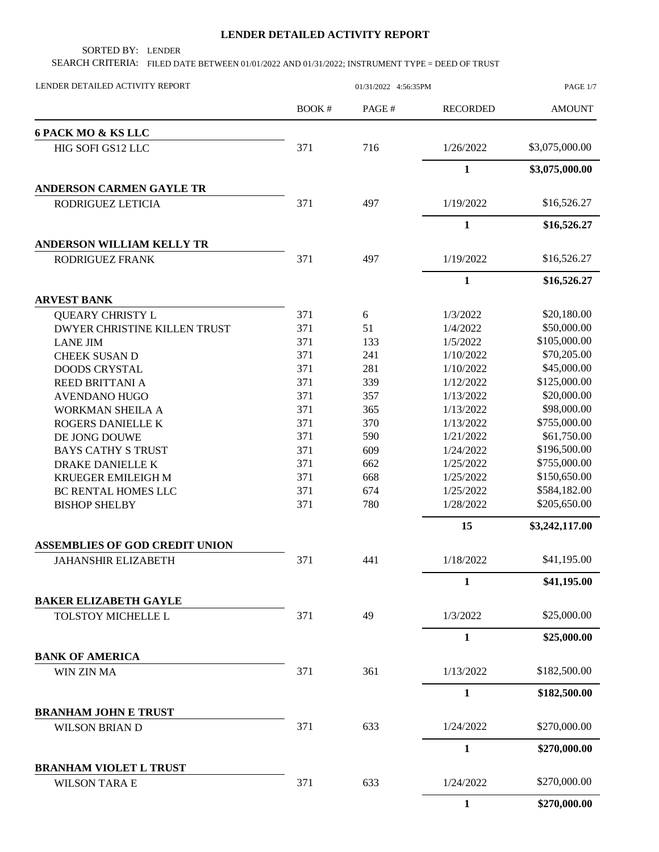## **LENDER DETAILED ACTIVITY REPORT**

SORTED BY: LENDER

SEARCH CRITERIA: FILED DATE BETWEEN 01/01/2022 AND 01/31/2022; INSTRUMENT TYPE = DEED OF TRUST

| LENDER DETAILED ACTIVITY REPORT                      | 01/31/2022 4:56:35PM |                  |                 | PAGE 1/7       |
|------------------------------------------------------|----------------------|------------------|-----------------|----------------|
|                                                      | <b>BOOK#</b>         | PAGE#            | <b>RECORDED</b> | <b>AMOUNT</b>  |
| 6 PACK MO & KS LLC                                   |                      |                  |                 |                |
| HIG SOFI GS12 LLC                                    | 371                  | 716              | 1/26/2022       | \$3,075,000.00 |
|                                                      |                      |                  | $\mathbf{1}$    | \$3,075,000.00 |
| <b>ANDERSON CARMEN GAYLE TR</b>                      |                      |                  |                 |                |
| RODRIGUEZ LETICIA                                    | 371                  | 497              | 1/19/2022       | \$16,526.27    |
|                                                      |                      |                  | $\mathbf{1}$    | \$16,526.27    |
| ANDERSON WILLIAM KELLY TR                            |                      |                  |                 |                |
| RODRIGUEZ FRANK                                      | 371                  | 497              | 1/19/2022       | \$16,526.27    |
|                                                      |                      |                  | 1               | \$16,526.27    |
| <b>ARVEST BANK</b>                                   |                      |                  |                 |                |
| <b>QUEARY CHRISTY L</b>                              | 371                  | $\boldsymbol{6}$ | 1/3/2022        | \$20,180.00    |
| DWYER CHRISTINE KILLEN TRUST                         | 371                  | 51               | 1/4/2022        | \$50,000.00    |
| <b>LANE JIM</b>                                      | 371                  | 133              | 1/5/2022        | \$105,000.00   |
| <b>CHEEK SUSAN D</b>                                 | 371                  | 241              | 1/10/2022       | \$70,205.00    |
| <b>DOODS CRYSTAL</b>                                 | 371                  | 281              | 1/10/2022       | \$45,000.00    |
| <b>REED BRITTANI A</b>                               | 371                  | 339              | 1/12/2022       | \$125,000.00   |
| <b>AVENDANO HUGO</b>                                 | 371                  | 357              | 1/13/2022       | \$20,000.00    |
| WORKMAN SHEILA A                                     | 371                  | 365              | 1/13/2022       | \$98,000.00    |
| ROGERS DANIELLE K                                    | 371                  | 370              | 1/13/2022       | \$755,000.00   |
| DE JONG DOUWE                                        | 371                  | 590              | 1/21/2022       | \$61,750.00    |
| <b>BAYS CATHY S TRUST</b>                            | 371                  | 609              | 1/24/2022       | \$196,500.00   |
| DRAKE DANIELLE K                                     | 371                  | 662              | 1/25/2022       | \$755,000.00   |
| KRUEGER EMILEIGH M                                   | 371                  | 668              | 1/25/2022       | \$150,650.00   |
| BC RENTAL HOMES LLC                                  | 371                  | 674              | 1/25/2022       | \$584,182.00   |
| <b>BISHOP SHELBY</b>                                 | 371                  | 780              | 1/28/2022       | \$205,650.00   |
|                                                      |                      |                  | 15              | \$3,242,117.00 |
| <b>ASSEMBLIES OF GOD CREDIT UNION</b>                |                      |                  |                 |                |
| JAHANSHIR ELIZABETH                                  | 371                  | 441              | 1/18/2022       | \$41,195.00    |
|                                                      |                      |                  | $\mathbf{1}$    | \$41,195.00    |
| <b>BAKER ELIZABETH GAYLE</b>                         |                      |                  |                 |                |
| TOLSTOY MICHELLE L                                   | 371                  | 49               | 1/3/2022        | \$25,000.00    |
|                                                      |                      |                  | $\mathbf{1}$    | \$25,000.00    |
| <b>BANK OF AMERICA</b>                               |                      |                  |                 |                |
| WIN ZIN MA                                           | 371                  | 361              | 1/13/2022       | \$182,500.00   |
|                                                      |                      |                  | $\mathbf{1}$    | \$182,500.00   |
| <b>BRANHAM JOHN E TRUST</b><br><b>WILSON BRIAN D</b> | 371                  | 633              | 1/24/2022       | \$270,000.00   |
|                                                      |                      |                  | $\mathbf{1}$    | \$270,000.00   |
| <b>BRANHAM VIOLET L TRUST</b>                        |                      |                  |                 |                |
| <b>WILSON TARA E</b>                                 | 371                  | 633              | 1/24/2022       | \$270,000.00   |
|                                                      |                      |                  | $\mathbf{1}$    | \$270,000.00   |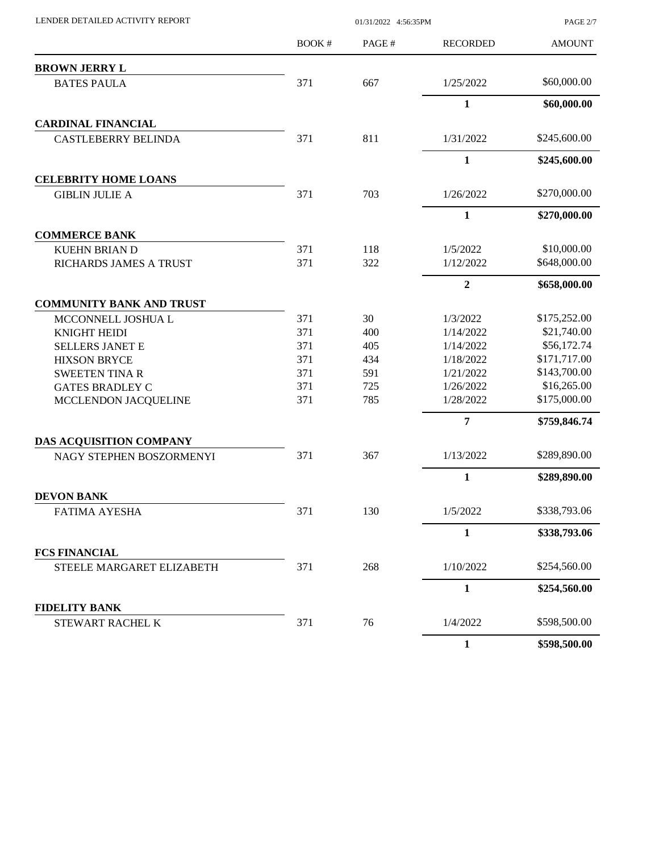| LENDER DETAILED ACTIVITY REPORT                |            | PAGE 2/7   |                        |                             |
|------------------------------------------------|------------|------------|------------------------|-----------------------------|
|                                                | BOOK #     | PAGE#      | <b>RECORDED</b>        | <b>AMOUNT</b>               |
| <b>BROWN JERRY L</b>                           |            |            |                        |                             |
| <b>BATES PAULA</b>                             | 371        | 667        | 1/25/2022              | \$60,000.00                 |
|                                                |            |            | $\mathbf{1}$           | \$60,000.00                 |
| <b>CARDINAL FINANCIAL</b>                      |            |            |                        |                             |
| <b>CASTLEBERRY BELINDA</b>                     | 371        | 811        | 1/31/2022              | \$245,600.00                |
|                                                |            |            | $\mathbf{1}$           | \$245,600.00                |
| <b>CELEBRITY HOME LOANS</b>                    |            |            |                        |                             |
| <b>GIBLIN JULIE A</b>                          | 371        | 703        | 1/26/2022              | \$270,000.00                |
|                                                |            |            | 1                      | \$270,000.00                |
| <b>COMMERCE BANK</b>                           |            |            |                        |                             |
| <b>KUEHN BRIAN D</b>                           | 371        | 118        | 1/5/2022               | \$10,000.00                 |
| RICHARDS JAMES A TRUST                         | 371        | 322        | 1/12/2022              | \$648,000.00                |
|                                                |            |            | $\overline{2}$         | \$658,000.00                |
| <b>COMMUNITY BANK AND TRUST</b>                |            |            |                        |                             |
| MCCONNELL JOSHUA L                             | 371        | 30         | 1/3/2022               | \$175,252.00                |
| KNIGHT HEIDI                                   | 371        | 400        | 1/14/2022              | \$21,740.00                 |
| <b>SELLERS JANET E</b>                         | 371        | 405        | 1/14/2022              | \$56,172.74                 |
| <b>HIXSON BRYCE</b>                            | 371        | 434        | 1/18/2022              | \$171,717.00                |
| <b>SWEETEN TINA R</b>                          | 371<br>371 | 591<br>725 | 1/21/2022<br>1/26/2022 | \$143,700.00<br>\$16,265.00 |
| <b>GATES BRADLEY C</b><br>MCCLENDON JACQUELINE | 371        | 785        | 1/28/2022              | \$175,000.00                |
|                                                |            |            | 7                      | \$759,846.74                |
| DAS ACQUISITION COMPANY                        |            |            |                        |                             |
| NAGY STEPHEN BOSZORMENYI                       | 371        | 367        | 1/13/2022              | \$289,890.00                |
|                                                |            |            | $\mathbf{1}$           | \$289,890.00                |
| <b>DEVON BANK</b>                              |            |            |                        |                             |
| <b>FATIMA AYESHA</b>                           | 371        | 130        | 1/5/2022               | \$338,793.06                |
|                                                |            |            | 1                      | \$338,793.06                |
| <b>FCS FINANCIAL</b>                           |            |            |                        |                             |
| STEELE MARGARET ELIZABETH                      | 371        | 268        | 1/10/2022              | \$254,560.00                |
|                                                |            |            | $\mathbf{1}$           | \$254,560.00                |
| <b>FIDELITY BANK</b>                           |            |            |                        |                             |
| STEWART RACHEL K                               | 371        | 76         | 1/4/2022               | \$598,500.00                |
|                                                |            |            | $\mathbf{1}$           | \$598,500.00                |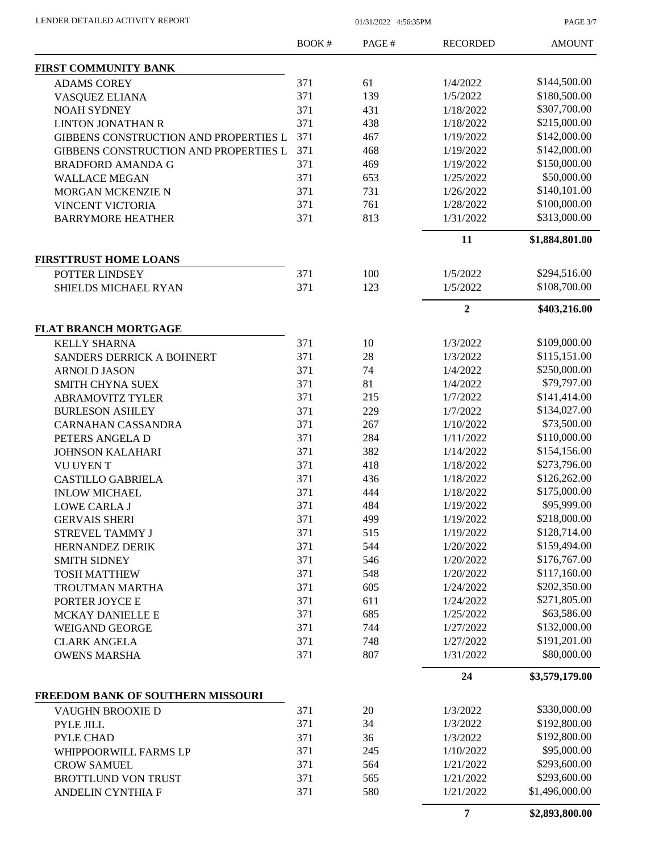PAGE 3/7

|                                       | <b>BOOK#</b> | PAGE# | <b>RECORDED</b> | <b>AMOUNT</b>  |
|---------------------------------------|--------------|-------|-----------------|----------------|
| FIRST COMMUNITY BANK                  |              |       |                 |                |
| <b>ADAMS COREY</b>                    | 371          | 61    | 1/4/2022        | \$144,500.00   |
| VASQUEZ ELIANA                        | 371          | 139   | 1/5/2022        | \$180,500.00   |
| <b>NOAH SYDNEY</b>                    | 371          | 431   | 1/18/2022       | \$307,700.00   |
| <b>LINTON JONATHAN R</b>              | 371          | 438   | 1/18/2022       | \$215,000.00   |
| GIBBENS CONSTRUCTION AND PROPERTIES L | 371          | 467   | 1/19/2022       | \$142,000.00   |
| GIBBENS CONSTRUCTION AND PROPERTIES L | 371          | 468   | 1/19/2022       | \$142,000.00   |
| <b>BRADFORD AMANDA G</b>              | 371          | 469   | 1/19/2022       | \$150,000.00   |
| <b>WALLACE MEGAN</b>                  | 371          | 653   | 1/25/2022       | \$50,000.00    |
| MORGAN MCKENZIE N                     | 371          | 731   | 1/26/2022       | \$140,101.00   |
| <b>VINCENT VICTORIA</b>               | 371          | 761   | 1/28/2022       | \$100,000.00   |
| <b>BARRYMORE HEATHER</b>              | 371          | 813   | 1/31/2022       | \$313,000.00   |
|                                       |              |       | 11              | \$1,884,801.00 |
| <b>FIRSTTRUST HOME LOANS</b>          |              |       |                 |                |
| POTTER LINDSEY                        | 371          | 100   | 1/5/2022        | \$294,516.00   |
| SHIELDS MICHAEL RYAN                  | 371          | 123   | 1/5/2022        | \$108,700.00   |
|                                       |              |       | $\overline{2}$  | \$403,216.00   |
| <b>FLAT BRANCH MORTGAGE</b>           |              |       |                 | \$109,000.00   |
| <b>KELLY SHARNA</b>                   | 371          | 10    | 1/3/2022        |                |
| <b>SANDERS DERRICK A BOHNERT</b>      | 371          | 28    | 1/3/2022        | \$115,151.00   |
| <b>ARNOLD JASON</b>                   | 371          | 74    | 1/4/2022        | \$250,000.00   |
| <b>SMITH CHYNA SUEX</b>               | 371          | 81    | 1/4/2022        | \$79,797.00    |
| <b>ABRAMOVITZ TYLER</b>               | 371          | 215   | 1/7/2022        | \$141,414.00   |
| <b>BURLESON ASHLEY</b>                | 371          | 229   | 1/7/2022        | \$134,027.00   |
| <b>CARNAHAN CASSANDRA</b>             | 371          | 267   | 1/10/2022       | \$73,500.00    |
| PETERS ANGELA D                       | 371          | 284   | 1/11/2022       | \$110,000.00   |
| <b>JOHNSON KALAHARI</b>               | 371          | 382   | 1/14/2022       | \$154,156.00   |
| <b>VU UYENT</b>                       | 371          | 418   | 1/18/2022       | \$273,796.00   |
| <b>CASTILLO GABRIELA</b>              | 371          | 436   | 1/18/2022       | \$126,262.00   |
| <b>INLOW MICHAEL</b>                  | 371          | 444   | 1/18/2022       | \$175,000.00   |
| <b>LOWE CARLA J</b>                   | 371          | 484   | 1/19/2022       | \$95,999.00    |
| <b>GERVAIS SHERI</b>                  | 371          | 499   | 1/19/2022       | \$218,000.00   |
| STREVEL TAMMY J                       | 371          | 515   | 1/19/2022       | \$128,714.00   |
| HERNANDEZ DERIK                       | 371          | 544   | 1/20/2022       | \$159,494.00   |
| <b>SMITH SIDNEY</b>                   | 371          | 546   | 1/20/2022       | \$176,767.00   |
| <b>TOSH MATTHEW</b>                   | 371          | 548   | 1/20/2022       | \$117,160.00   |
| TROUTMAN MARTHA                       | 371          | 605   | 1/24/2022       | \$202,350.00   |
| PORTER JOYCE E                        | 371          | 611   | 1/24/2022       | \$271,805.00   |
| MCKAY DANIELLE E                      | 371          | 685   | 1/25/2022       | \$63,586.00    |
| <b>WEIGAND GEORGE</b>                 | 371          | 744   | 1/27/2022       | \$132,000.00   |
| <b>CLARK ANGELA</b>                   | 371          | 748   | 1/27/2022       | \$191,201.00   |
| <b>OWENS MARSHA</b>                   | 371          | 807   | 1/31/2022       | \$80,000.00    |
|                                       |              |       | 24              | \$3,579,179.00 |
| FREEDOM BANK OF SOUTHERN MISSOURI     |              |       |                 |                |
| VAUGHN BROOXIE D                      | 371          | 20    | 1/3/2022        | \$330,000.00   |
| PYLE JILL                             | 371          | 34    | 1/3/2022        | \$192,800.00   |
| PYLE CHAD                             | 371          | 36    | 1/3/2022        | \$192,800.00   |
| WHIPPOORWILL FARMS LP                 | 371          | 245   | 1/10/2022       | \$95,000.00    |
| <b>CROW SAMUEL</b>                    | 371          | 564   | 1/21/2022       | \$293,600.00   |
| <b>BROTTLUND VON TRUST</b>            | 371          | 565   | 1/21/2022       | \$293,600.00   |
| ANDELIN CYNTHIA F                     | 371          | 580   | 1/21/2022       | \$1,496,000.00 |
|                                       |              |       | $\overline{7}$  | \$2,893,800.00 |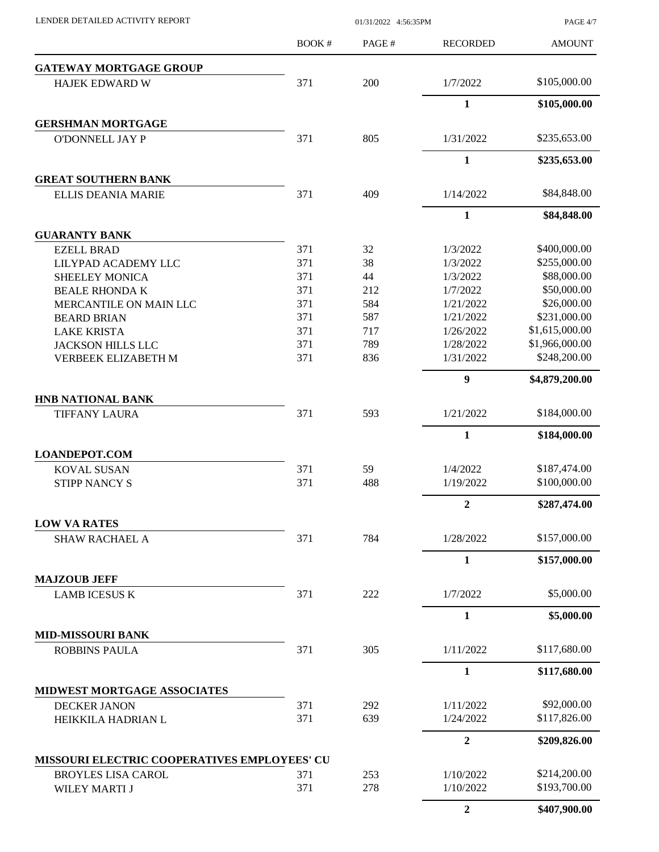PAGE 4/7

|                                              | BOOK# | PAGE# | <b>RECORDED</b>  | <b>AMOUNT</b>  |
|----------------------------------------------|-------|-------|------------------|----------------|
| <b>GATEWAY MORTGAGE GROUP</b>                |       |       |                  |                |
| <b>HAJEK EDWARD W</b>                        | 371   | 200   | 1/7/2022         | \$105,000.00   |
|                                              |       |       | $\mathbf{1}$     | \$105,000.00   |
| <b>GERSHMAN MORTGAGE</b>                     |       |       |                  |                |
| <b>O'DONNELL JAY P</b>                       | 371   | 805   | 1/31/2022        | \$235,653.00   |
|                                              |       |       | $\mathbf{1}$     | \$235,653.00   |
| <b>GREAT SOUTHERN BANK</b>                   |       |       |                  |                |
| <b>ELLIS DEANIA MARIE</b>                    | 371   | 409   | 1/14/2022        | \$84,848.00    |
|                                              |       |       | $\mathbf{1}$     | \$84,848.00    |
| <b>GUARANTY BANK</b>                         |       |       |                  |                |
| <b>EZELL BRAD</b>                            | 371   | 32    | 1/3/2022         | \$400,000.00   |
| LILYPAD ACADEMY LLC                          | 371   | 38    | 1/3/2022         | \$255,000.00   |
| <b>SHEELEY MONICA</b>                        | 371   | 44    | 1/3/2022         | \$88,000.00    |
| <b>BEALE RHONDA K</b>                        | 371   | 212   | 1/7/2022         | \$50,000.00    |
| MERCANTILE ON MAIN LLC                       | 371   | 584   | 1/21/2022        | \$26,000.00    |
| <b>BEARD BRIAN</b>                           | 371   | 587   | 1/21/2022        | \$231,000.00   |
| <b>LAKE KRISTA</b>                           | 371   | 717   | 1/26/2022        | \$1,615,000.00 |
|                                              |       | 789   |                  | \$1,966,000.00 |
| <b>JACKSON HILLS LLC</b>                     | 371   |       | 1/28/2022        | \$248,200.00   |
| VERBEEK ELIZABETH M                          | 371   | 836   | 1/31/2022        |                |
|                                              |       |       | $\boldsymbol{9}$ | \$4,879,200.00 |
| <b>HNB NATIONAL BANK</b>                     |       |       |                  |                |
| <b>TIFFANY LAURA</b>                         | 371   | 593   | 1/21/2022        | \$184,000.00   |
|                                              |       |       | $\mathbf{1}$     | \$184,000.00   |
| <b>LOANDEPOT.COM</b>                         |       |       |                  |                |
| <b>KOVAL SUSAN</b>                           | 371   | 59    | 1/4/2022         | \$187,474.00   |
| <b>STIPP NANCY S</b>                         | 371   | 488   | 1/19/2022        | \$100,000.00   |
|                                              |       |       | $\boldsymbol{2}$ | \$287,474.00   |
| <b>LOW VA RATES</b>                          |       |       |                  |                |
| <b>SHAW RACHAEL A</b>                        | 371   | 784   | 1/28/2022        | \$157,000.00   |
|                                              |       |       | 1                | \$157,000.00   |
| <b>MAJZOUB JEFF</b>                          |       |       |                  |                |
| <b>LAMB ICESUS K</b>                         | 371   | 222   | 1/7/2022         | \$5,000.00     |
|                                              |       |       | $\mathbf{1}$     | \$5,000.00     |
| <b>MID-MISSOURI BANK</b>                     |       |       |                  |                |
| <b>ROBBINS PAULA</b>                         | 371   | 305   | 1/11/2022        | \$117,680.00   |
|                                              |       |       | $\mathbf{1}$     | \$117,680.00   |
| MIDWEST MORTGAGE ASSOCIATES                  |       |       |                  |                |
| <b>DECKER JANON</b>                          | 371   | 292   | 1/11/2022        | \$92,000.00    |
| HEIKKILA HADRIAN L                           | 371   | 639   | 1/24/2022        | \$117,826.00   |
|                                              |       |       | $\overline{2}$   | \$209,826.00   |
| MISSOURI ELECTRIC COOPERATIVES EMPLOYEES' CU |       |       |                  |                |
| <b>BROYLES LISA CAROL</b>                    | 371   | 253   | 1/10/2022        | \$214,200.00   |
| WILEY MARTI J                                | 371   | 278   | 1/10/2022        | \$193,700.00   |
|                                              |       |       |                  |                |
|                                              |       |       | $\overline{2}$   | \$407,900.00   |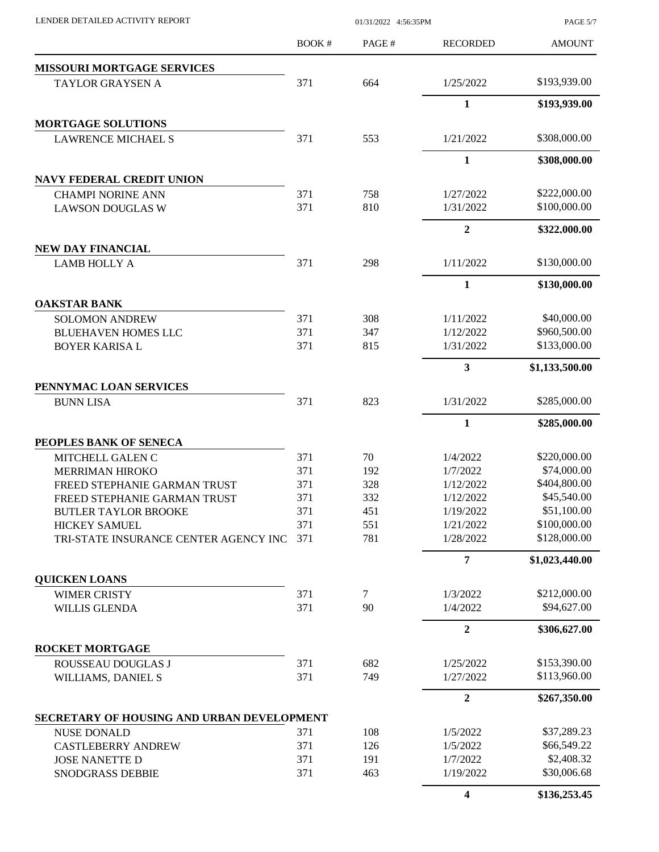| LENDER DETAILED ACTIVITY REPORT                        | 01/31/2022 4:56:35PM |            |                         | PAGE 5/7                    |
|--------------------------------------------------------|----------------------|------------|-------------------------|-----------------------------|
|                                                        | <b>BOOK#</b>         | PAGE#      | <b>RECORDED</b>         | <b>AMOUNT</b>               |
| <b>MISSOURI MORTGAGE SERVICES</b>                      |                      |            |                         |                             |
| TAYLOR GRAYSEN A                                       | 371                  | 664        | 1/25/2022               | \$193,939.00                |
|                                                        |                      |            | $\mathbf{1}$            | \$193,939.00                |
| <b>MORTGAGE SOLUTIONS</b>                              |                      |            |                         |                             |
| <b>LAWRENCE MICHAEL S</b>                              | 371                  | 553        | 1/21/2022               | \$308,000.00                |
|                                                        |                      |            | $\mathbf{1}$            | \$308,000.00                |
| <b>NAVY FEDERAL CREDIT UNION</b>                       |                      |            |                         |                             |
| <b>CHAMPI NORINE ANN</b>                               | 371                  | 758        | 1/27/2022               | \$222,000.00                |
| <b>LAWSON DOUGLAS W</b>                                | 371                  | 810        | 1/31/2022               | \$100,000.00                |
|                                                        |                      |            | $\boldsymbol{2}$        | \$322,000.00                |
| NEW DAY FINANCIAL                                      |                      |            |                         |                             |
| <b>LAMB HOLLY A</b>                                    | 371                  | 298        | 1/11/2022               | \$130,000.00                |
|                                                        |                      |            | $\mathbf{1}$            | \$130,000.00                |
| <b>OAKSTAR BANK</b>                                    |                      |            |                         |                             |
| <b>SOLOMON ANDREW</b>                                  | 371                  | 308        | 1/11/2022               | \$40,000.00                 |
| <b>BLUEHAVEN HOMES LLC</b>                             | 371                  | 347        | 1/12/2022               | \$960,500.00                |
| <b>BOYER KARISAL</b>                                   | 371                  | 815        | 1/31/2022               | \$133,000.00                |
|                                                        |                      |            | 3                       | \$1,133,500.00              |
| PENNYMAC LOAN SERVICES                                 |                      |            |                         |                             |
| <b>BUNN LISA</b>                                       | 371                  | 823        | 1/31/2022               | \$285,000.00                |
|                                                        |                      |            | 1                       | \$285,000.00                |
| PEOPLES BANK OF SENECA                                 |                      |            |                         |                             |
| MITCHELL GALEN C                                       | 371                  | 70         | 1/4/2022                | \$220,000.00<br>\$74,000.00 |
| <b>MERRIMAN HIROKO</b><br>FREED STEPHANIE GARMAN TRUST | 371<br>371           | 192<br>328 | 1/7/2022<br>1/12/2022   | \$404,800.00                |
| FREED STEPHANIE GARMAN TRUST                           | 371                  | 332        | 1/12/2022               | \$45,540.00                 |
| <b>BUTLER TAYLOR BROOKE</b>                            | 371                  | 451        | 1/19/2022               | \$51,100.00                 |
| <b>HICKEY SAMUEL</b>                                   | 371                  | 551        | 1/21/2022               | \$100,000.00                |
| TRI-STATE INSURANCE CENTER AGENCY INC                  | 371                  | 781        | 1/28/2022               | \$128,000.00                |
|                                                        |                      |            | $\overline{7}$          | \$1,023,440.00              |
| <b>QUICKEN LOANS</b>                                   |                      |            |                         |                             |
| <b>WIMER CRISTY</b>                                    | 371                  | $\tau$     | 1/3/2022                | \$212,000.00                |
| <b>WILLIS GLENDA</b>                                   | 371                  | 90         | 1/4/2022                | \$94,627.00                 |
|                                                        |                      |            | $\overline{2}$          | \$306,627.00                |
| <b>ROCKET MORTGAGE</b>                                 |                      |            |                         |                             |
| ROUSSEAU DOUGLAS J                                     | 371                  | 682        | 1/25/2022               | \$153,390.00                |
| WILLIAMS, DANIEL S                                     | 371                  | 749        | 1/27/2022               | \$113,960.00                |
|                                                        |                      |            | $\mathbf{2}$            | \$267,350.00                |
| SECRETARY OF HOUSING AND URBAN DEVELOPMENT             |                      |            |                         |                             |
| <b>NUSE DONALD</b>                                     | 371                  | 108        | 1/5/2022                | \$37,289.23                 |
| <b>CASTLEBERRY ANDREW</b><br><b>JOSE NANETTE D</b>     | 371<br>371           | 126<br>191 | 1/5/2022<br>1/7/2022    | \$66,549.22<br>\$2,408.32   |
| SNODGRASS DEBBIE                                       | 371                  | 463        | 1/19/2022               | \$30,006.68                 |
|                                                        |                      |            | $\overline{\mathbf{4}}$ |                             |
|                                                        |                      |            |                         | \$136,253.45                |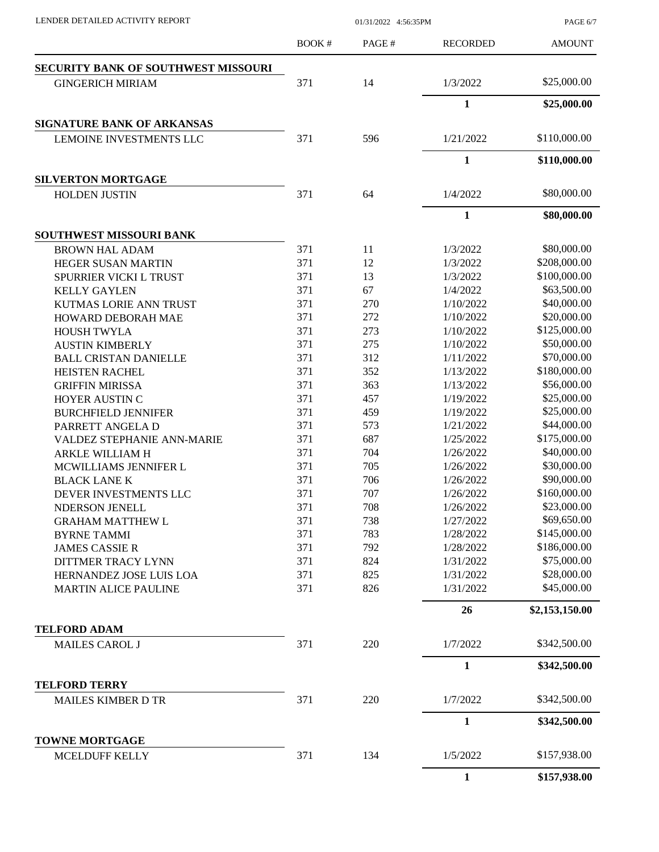PAGE 6/7

|                                              | BOOK# | PAGE# | <b>RECORDED</b> | <b>AMOUNT</b>  |
|----------------------------------------------|-------|-------|-----------------|----------------|
| <b>SECURITY BANK OF SOUTHWEST MISSOURI</b>   |       |       |                 |                |
| <b>GINGERICH MIRIAM</b>                      | 371   | 14    | 1/3/2022        | \$25,000.00    |
|                                              |       |       | $\mathbf{1}$    | \$25,000.00    |
| <b>SIGNATURE BANK OF ARKANSAS</b>            |       |       |                 |                |
| LEMOINE INVESTMENTS LLC                      | 371   | 596   | 1/21/2022       | \$110,000.00   |
|                                              |       |       | $\mathbf{1}$    | \$110,000.00   |
| <b>SILVERTON MORTGAGE</b>                    |       |       |                 |                |
| <b>HOLDEN JUSTIN</b>                         | 371   | 64    | 1/4/2022        | \$80,000.00    |
|                                              |       |       | $\mathbf{1}$    | \$80,000.00    |
| <b>SOUTHWEST MISSOURI BANK</b>               |       |       |                 |                |
| <b>BROWN HAL ADAM</b>                        | 371   | 11    | 1/3/2022        | \$80,000.00    |
| HEGER SUSAN MARTIN                           | 371   | 12    | 1/3/2022        | \$208,000.00   |
| SPURRIER VICKI L TRUST                       | 371   | 13    | 1/3/2022        | \$100,000.00   |
| <b>KELLY GAYLEN</b>                          | 371   | 67    | 1/4/2022        | \$63,500.00    |
| <b>KUTMAS LORIE ANN TRUST</b>                | 371   | 270   | 1/10/2022       | \$40,000.00    |
| HOWARD DEBORAH MAE                           | 371   | 272   | 1/10/2022       | \$20,000.00    |
| <b>HOUSH TWYLA</b>                           | 371   | 273   | 1/10/2022       | \$125,000.00   |
| <b>AUSTIN KIMBERLY</b>                       | 371   | 275   | 1/10/2022       | \$50,000.00    |
| <b>BALL CRISTAN DANIELLE</b>                 | 371   | 312   | 1/11/2022       | \$70,000.00    |
| <b>HEISTEN RACHEL</b>                        | 371   | 352   | 1/13/2022       | \$180,000.00   |
| <b>GRIFFIN MIRISSA</b>                       | 371   | 363   | 1/13/2022       | \$56,000.00    |
|                                              | 371   | 457   | 1/19/2022       | \$25,000.00    |
| HOYER AUSTIN C                               |       |       |                 |                |
| <b>BURCHFIELD JENNIFER</b>                   | 371   | 459   | 1/19/2022       | \$25,000.00    |
| PARRETT ANGELA D                             | 371   | 573   | 1/21/2022       | \$44,000.00    |
| <b>VALDEZ STEPHANIE ANN-MARIE</b>            | 371   | 687   | 1/25/2022       | \$175,000.00   |
| ARKLE WILLIAM H                              | 371   | 704   | 1/26/2022       | \$40,000.00    |
| MCWILLIAMS JENNIFER L                        | 371   | 705   | 1/26/2022       | \$30,000.00    |
| <b>BLACK LANE K</b>                          | 371   | 706   | 1/26/2022       | \$90,000.00    |
| DEVER INVESTMENTS LLC                        | 371   | 707   | 1/26/2022       | \$160,000.00   |
| <b>NDERSON JENELL</b>                        | 371   | 708   | 1/26/2022       | \$23,000.00    |
| <b>GRAHAM MATTHEW L</b>                      | 371   | 738   | 1/27/2022       | \$69,650.00    |
| <b>BYRNE TAMMI</b>                           | 371   | 783   | 1/28/2022       | \$145,000.00   |
| <b>JAMES CASSIE R</b>                        | 371   | 792   | 1/28/2022       | \$186,000.00   |
| DITTMER TRACY LYNN                           | 371   | 824   | 1/31/2022       | \$75,000.00    |
| HERNANDEZ JOSE LUIS LOA                      | 371   | 825   | 1/31/2022       | \$28,000.00    |
| <b>MARTIN ALICE PAULINE</b>                  | 371   | 826   | 1/31/2022       | \$45,000.00    |
|                                              |       |       | 26              | \$2,153,150.00 |
| <b>TELFORD ADAM</b><br><b>MAILES CAROL J</b> | 371   | 220   | 1/7/2022        | \$342,500.00   |
|                                              |       |       | $\mathbf{1}$    | \$342,500.00   |
| <b>TELFORD TERRY</b>                         |       |       |                 |                |
| <b>MAILES KIMBER D TR</b>                    | 371   | 220   | 1/7/2022        | \$342,500.00   |
|                                              |       |       | 1               | \$342,500.00   |
| <b>TOWNE MORTGAGE</b>                        |       |       |                 |                |
| MCELDUFF KELLY                               | 371   | 134   | 1/5/2022        | \$157,938.00   |
|                                              |       |       | $\mathbf{1}$    | \$157,938.00   |